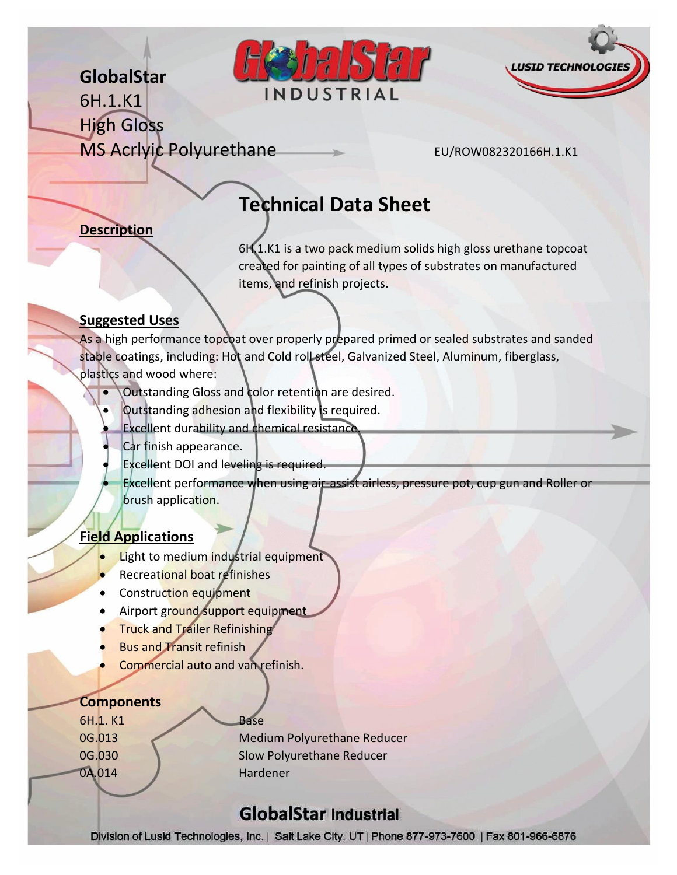# **GlobalStar**





6H.1.K1 High Gloss MS Acrivic Polyurethane EU/ROW082320166H.1.K1

## **Technical Data Sheet**

#### **Description**

6H.1.K1 is a two pack medium solids high gloss urethane topcoat created for painting of all types of substrates on manufactured items, and refinish projects.

#### **Suggested Uses**

As a high performance topcoat over properly prepared primed or sealed substrates and sanded stable coatings, including: Hot and Cold roll steel, Galvanized Steel, Aluminum, fiberglass, plastics and wood where:

- Outstanding Gloss and color retention are desired.
- Outstanding adhesion and flexibility is required.
- Excellent durability and chemical resistance.
- Car finish appearance.
- Excellent DOI and leveling is required.

 Excellent performance when using air-assist airless, pressure pot, cup gun and Roller or brush application.

#### **Field Applications**

- Light to medium industrial equipment
- Recreational boat refinishes
- Construction equipment
- Airport ground support equipment
- **Truck and Trailer Refinishing**
- Bus and Transit refinish
- **Commercial auto and van refinish.**

#### **Components**

6H.1. K1 Base 0A.014 Hardener

0G.013 Medium Polyurethane Reducer 0G.030 Slow Polyurethane Reducer

## **GlobalStar Industrial**

Division of Lusid Technologies, Inc. | Salt Lake City, UT | Phone 877-973-7600 | Fax 801-966-6876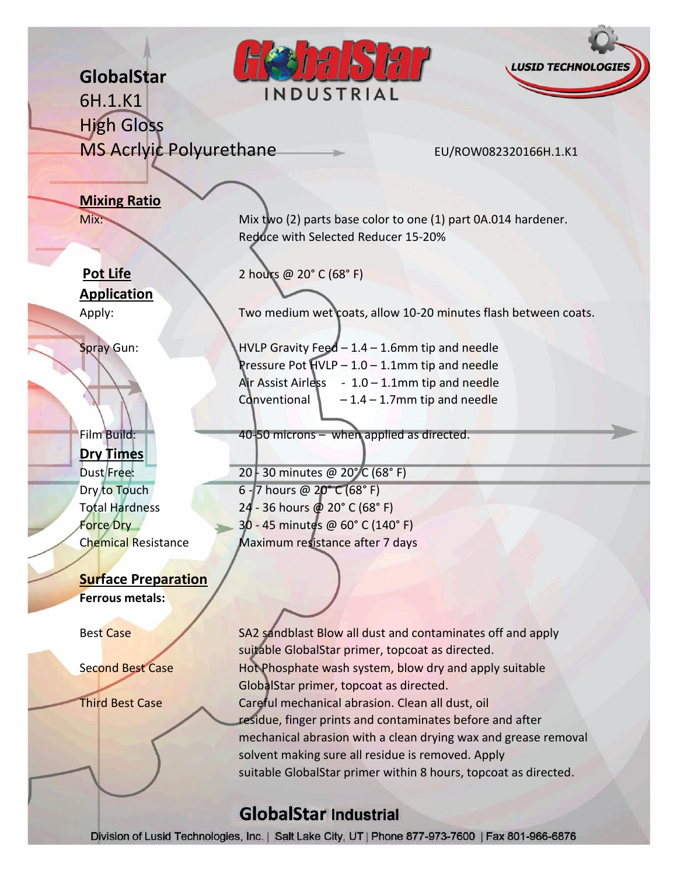## PIST **LUSID TECHNOL GlobalStar** INDUSTRIAL 6H.1.K1 High Gloss MS Acrivic Polyurethane EU/ROW082320166H.1.K1 **Mixing Ratio** Mix: Mix: Mix two (2) parts base color to one (1) part 0A.014 hardener. Reduce with Selected Reducer 15-20% **Pot Life** 2 hours @ 20° C (68° F) **Application** Apply: Two medium wet coats, allow 10-20 minutes flash between coats. Spray Gun: HVLP Gravity Feed – 1.4 – 1.6mm tip and needle Pressure Pot HVLP – 1.0 – 1.1mm tip and needle Air Assist Airless  $-1.0 - 1.1$ mm tip and needle Conventional  $\vert$  – 1.4 – 1.7mm tip and needle Film Build: 40-50 microns – when applied as directed. **Dry Times** Dust Free: 20 - 30 minutes @ 20° C (68° F) Dry to Touch 6 - 7 hours  $@ 20°C (68°C F)$ Total Hardness 24 - 36 hours @ 20° C (68° F) Force Dry 30 - 45 minutes @ 60° C (140° F) Chemical Resistance Maximum resistance after 7 days **Surface Preparation Ferrous metals:** Best Case SA2 sandblast Blow all dust and contaminates off and apply suitable GlobalStar primer, topcoat as directed. Second Best Case Hot Phosphate wash system, blow dry and apply suitable GlobalStar primer, topcoat as directed. Third Best Case Careful mechanical abrasion. Clean all dust, oil residue, finger prints and contaminates before and after mechanical abrasion with a clean drying wax and grease removal solvent making sure all residue is removed. Apply

#### **GlobalStar Industrial**

Division of Lusid Technologies, Inc. | Salt Lake City, UT | Phone 877-973-7600 | Fax 801-966-6876

suitable GlobalStar primer within 8 hours, topcoat as directed.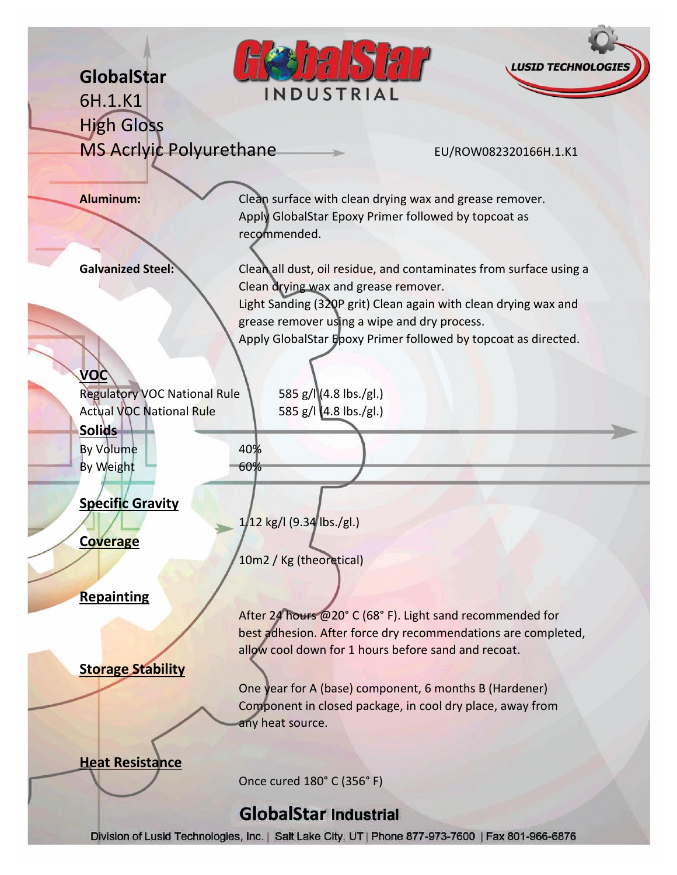